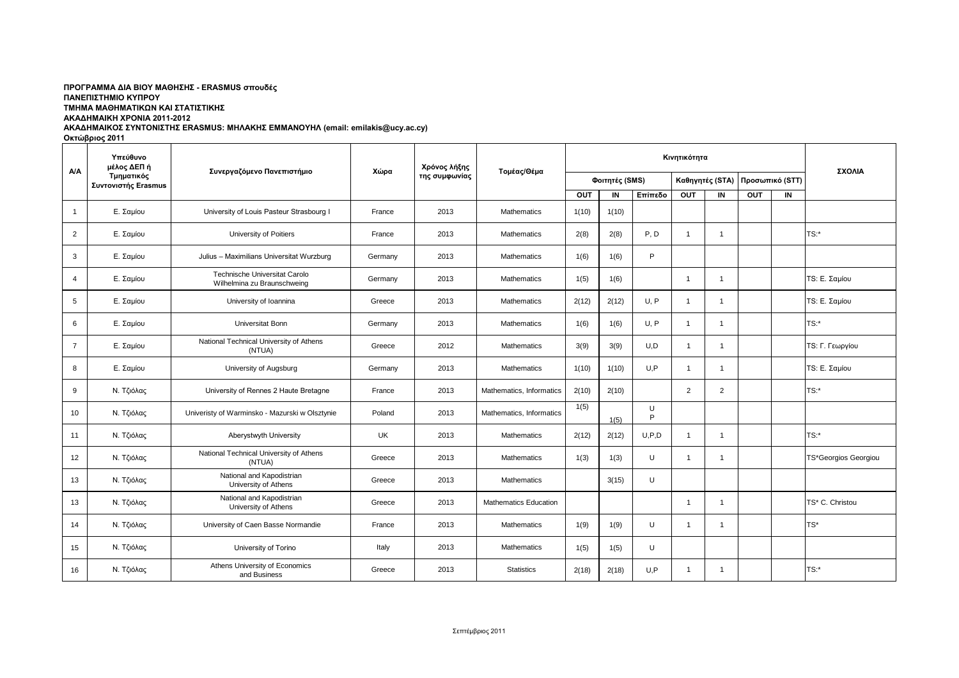## **ΑΚΑΓΗΜΑΙΚΟ ΤΝΣΟΝΙΣΗ ERASMUS: ΜΗΛΑΚΗ ΔΜΜΑΝΟΤΗΛ (email: emilakis@ucy.ac.cy) ΠΡΟΓΡΑΜΜΑ ΔΙΑ ΒΙΟΥ ΜΑΘΗΣΗΣ - ERASMUS σπουδές ΠΑΝΔΠΙΣΗΜΙΟ ΚΤΠΡΟΤ ΤΜΗΜΑ ΜΑΘΗΜΑΤΙΚΩΝ ΚΑΙ ΣΤΑΤΙΣΤΙΚΗΣ ΑΚΑΔΗΜΑΙΚΗ ΧΡΟΝΙΑ 2011-2012**

**Οθηώβξηνο 2011**

| A/A            | Υπεύθυνο<br>μέλος ΔΕΠ ή           |                                                              |           | Χρόνος λήξης  |                              |       |                |         |                |                 |            |                 |                      |
|----------------|-----------------------------------|--------------------------------------------------------------|-----------|---------------|------------------------------|-------|----------------|---------|----------------|-----------------|------------|-----------------|----------------------|
|                | Τμηματικός<br>Συντονιστής Erasmus | Συνεργαζόμενο Πανεπιστήμιο                                   | Χώρα      | της συμφωνίας | Τομέας/Θέμα                  |       | Φοιτητές (SMS) |         |                | Καθηγητές (STA) |            | Προσωπικό (STT) | ΣΧΟΛΙΑ               |
|                |                                   |                                                              |           |               |                              | OUT   | IN             | Επίπεδο | <b>OUT</b>     | IN              | <b>OUT</b> | IN              |                      |
| $\overline{1}$ | Ε. Σαμίου                         | University of Louis Pasteur Strasbourg I                     | France    | 2013          | <b>Mathematics</b>           | 1(10) | 1(10)          |         |                |                 |            |                 |                      |
| $\overline{2}$ | Ε. Σαμίου                         | University of Poitiers                                       | France    | 2013          | <b>Mathematics</b>           | 2(8)  | 2(8)           | P.D     | $\overline{1}$ | $\overline{1}$  |            |                 | $TS:$ *              |
| 3              | Ε. Σαμίου                         | Julius - Maximilians Universitat Wurzburg                    | Germany   | 2013          | <b>Mathematics</b>           | 1(6)  | 1(6)           | P       |                |                 |            |                 |                      |
| $\overline{4}$ | Ε. Σαμίου                         | Technische Universitat Carolo<br>Wilhelmina zu Braunschweing | Germany   | 2013          | Mathematics                  | 1(5)  | 1(6)           |         | $\overline{1}$ | $\overline{1}$  |            |                 | TS: Ε. Σαμίου        |
| 5              | Ε. Σαμίου                         | University of Ioannina                                       | Greece    | 2013          | Mathematics                  | 2(12) | 2(12)          | U, P    | $\overline{1}$ | $\overline{1}$  |            |                 | TS: Ε. Σαμίου        |
| 6              | Ε. Σαμίου                         | Universitat Bonn                                             | Germany   | 2013          | Mathematics                  | 1(6)  | 1(6)           | U.P     | $\overline{1}$ | $\overline{1}$  |            |                 | $TS:$ *              |
| $\overline{7}$ | Ε. Σαμίου                         | National Technical University of Athens<br>(NTUA)            | Greece    | 2012          | <b>Mathematics</b>           | 3(9)  | 3(9)           | U.D     | $\overline{1}$ | $\overline{1}$  |            |                 | TS: Γ. Γεωργίου      |
| 8              | Ε. Σαμίου                         | University of Augsburg                                       | Germany   | 2013          | Mathematics                  | 1(10) | 1(10)          | U, P    | $\mathbf{1}$   | 1               |            |                 | <b>TS: Ε. Σαμίου</b> |
| 9              | Ν. Τζιόλας                        | University of Rennes 2 Haute Bretagne                        | France    | 2013          | Mathematics, Informatics     | 2(10) | 2(10)          |         | $\overline{2}$ | $\overline{2}$  |            |                 | $TS:$ *              |
| 10             | Ν. Τζιόλας                        | Univeristy of Warminsko - Mazurski w Olsztynie               | Poland    | 2013          | Mathematics, Informatics     | 1(5)  | 1(5)           | U<br>P  |                |                 |            |                 |                      |
| 11             | Ν. Τζιόλας                        | Aberystwyth University                                       | <b>UK</b> | 2013          | <b>Mathematics</b>           | 2(12) | 2(12)          | U, P, D | $\mathbf{1}$   | $\overline{1}$  |            |                 | $TS:$ *              |
| 12             | Ν. Τζιόλας                        | National Technical University of Athens<br>(NTUA)            | Greece    | 2013          | Mathematics                  | 1(3)  | 1(3)           | U       | $\mathbf{1}$   | $\overline{1}$  |            |                 | TS*Georgios Georgiou |
| 13             | Ν. Τζιόλας                        | National and Kapodistrian<br>University of Athens            | Greece    | 2013          | <b>Mathematics</b>           |       | 3(15)          | U       |                |                 |            |                 |                      |
| 13             | Ν. Τζιόλας                        | National and Kapodistrian<br>University of Athens            | Greece    | 2013          | <b>Mathematics Education</b> |       |                |         | $\mathbf{1}$   | $\overline{1}$  |            |                 | TS* C. Christou      |
| 14             | Ν. Τζιόλας                        | University of Caen Basse Normandie                           | France    | 2013          | <b>Mathematics</b>           | 1(9)  | 1(9)           | U       | $\mathbf{1}$   | $\overline{1}$  |            |                 | $TS^*$               |
| 15             | Ν. Τζιόλας                        | University of Torino                                         | Italy     | 2013          | Mathematics                  | 1(5)  | 1(5)           | U       |                |                 |            |                 |                      |
| 16             | Ν. Τζιόλας                        | Athens University of Economics<br>and Business               | Greece    | 2013          | <b>Statistics</b>            | 2(18) | 2(18)          | U.P     | $\mathbf{1}$   | $\overline{1}$  |            |                 | $TS:$ *              |